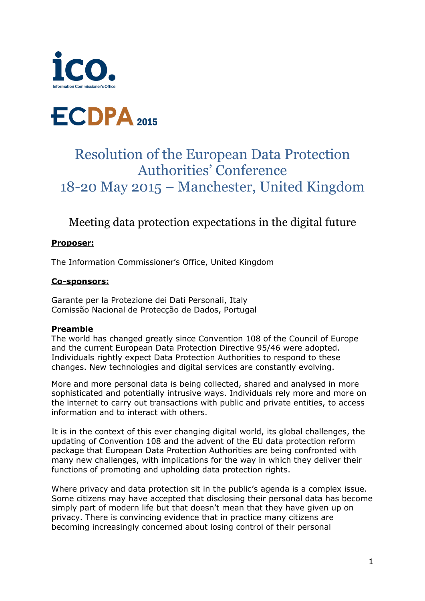



# Resolution of the European Data Protection Authorities' Conference 18-20 May 2015 – Manchester, United Kingdom

## Meeting data protection expectations in the digital future

#### **Proposer:**

The Information Commissioner's Office, United Kingdom

#### **Co-sponsors:**

Garante per la Protezione dei Dati Personali, Italy Comissão Nacional de Protecção de Dados, Portugal

#### **Preamble**

The world has changed greatly since Convention 108 of the Council of Europe and the current European Data Protection Directive 95/46 were adopted. Individuals rightly expect Data Protection Authorities to respond to these changes. New technologies and digital services are constantly evolving.

More and more personal data is being collected, shared and analysed in more sophisticated and potentially intrusive ways. Individuals rely more and more on the internet to carry out transactions with public and private entities, to access information and to interact with others.

It is in the context of this ever changing digital world, its global challenges, the updating of Convention 108 and the advent of the EU data protection reform package that European Data Protection Authorities are being confronted with many new challenges, with implications for the way in which they deliver their functions of promoting and upholding data protection rights.

Where privacy and data protection sit in the public's agenda is a complex issue. Some citizens may have accepted that disclosing their personal data has become simply part of modern life but that doesn't mean that they have given up on privacy. There is convincing evidence that in practice many citizens are becoming increasingly concerned about losing control of their personal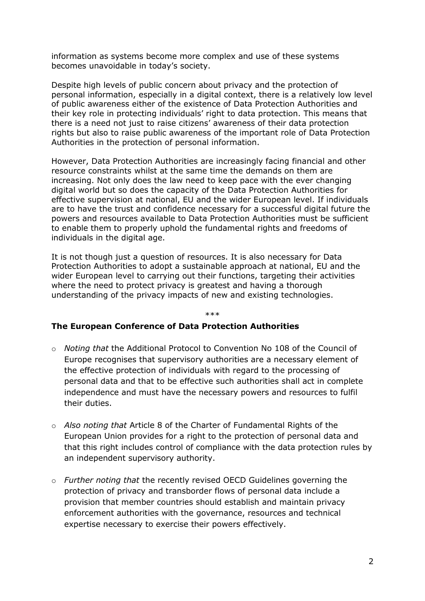information as systems become more complex and use of these systems becomes unavoidable in today's society.

Despite high levels of public concern about privacy and the protection of personal information, especially in a digital context, there is a relatively low level of public awareness either of the existence of Data Protection Authorities and their key role in protecting individuals' right to data protection. This means that there is a need not just to raise citizens' awareness of their data protection rights but also to raise public awareness of the important role of Data Protection Authorities in the protection of personal information.

However, Data Protection Authorities are increasingly facing financial and other resource constraints whilst at the same time the demands on them are increasing. Not only does the law need to keep pace with the ever changing digital world but so does the capacity of the Data Protection Authorities for effective supervision at national, EU and the wider European level. If individuals are to have the trust and confidence necessary for a successful digital future the powers and resources available to Data Protection Authorities must be sufficient to enable them to properly uphold the fundamental rights and freedoms of individuals in the digital age.

It is not though just a question of resources. It is also necessary for Data Protection Authorities to adopt a sustainable approach at national, EU and the wider European level to carrying out their functions, targeting their activities where the need to protect privacy is greatest and having a thorough understanding of the privacy impacts of new and existing technologies.

#### \*\*\*

#### **The European Conference of Data Protection Authorities**

- o *Noting that* the Additional Protocol to Convention No 108 of the Council of Europe recognises that supervisory authorities are a necessary element of the effective protection of individuals with regard to the processing of personal data and that to be effective such authorities shall act in complete independence and must have the necessary powers and resources to fulfil their duties.
- o *Also noting that* Article 8 of the Charter of Fundamental Rights of the European Union provides for a right to the protection of personal data and that this right includes control of compliance with the data protection rules by an independent supervisory authority.
- o *Further noting that* the recently revised OECD Guidelines governing the protection of privacy and transborder flows of personal data include a provision that member countries should establish and maintain privacy enforcement authorities with the governance, resources and technical expertise necessary to exercise their powers effectively.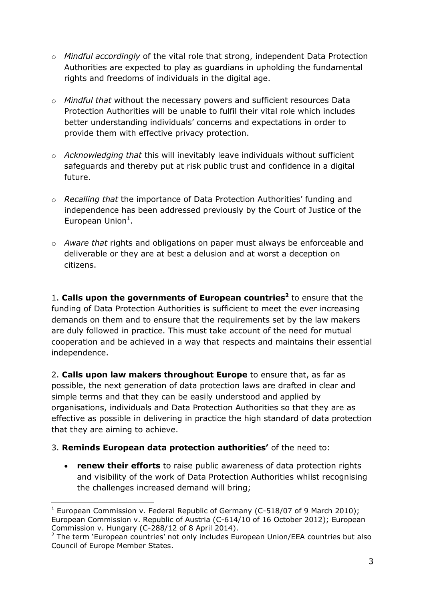- o *Mindful accordingly* of the vital role that strong, independent Data Protection Authorities are expected to play as guardians in upholding the fundamental rights and freedoms of individuals in the digital age.
- o *Mindful that* without the necessary powers and sufficient resources Data Protection Authorities will be unable to fulfil their vital role which includes better understanding individuals' concerns and expectations in order to provide them with effective privacy protection.
- o *Acknowledging that* this will inevitably leave individuals without sufficient safeguards and thereby put at risk public trust and confidence in a digital future.
- o *Recalling that* the importance of Data Protection Authorities' funding and independence has been addressed previously by the Court of Justice of the European Union<sup>1</sup>.
- o *Aware that* rights and obligations on paper must always be enforceable and deliverable or they are at best a delusion and at worst a deception on citizens.

1. **Calls upon the governments of European countries<sup>2</sup>** to ensure that the funding of Data Protection Authorities is sufficient to meet the ever increasing demands on them and to ensure that the requirements set by the law makers are duly followed in practice. This must take account of the need for mutual cooperation and be achieved in a way that respects and maintains their essential independence.

2. **Calls upon law makers throughout Europe** to ensure that, as far as possible, the next generation of data protection laws are drafted in clear and simple terms and that they can be easily understood and applied by organisations, individuals and Data Protection Authorities so that they are as effective as possible in delivering in practice the high standard of data protection that they are aiming to achieve.

### 3. **Reminds European data protection authorities'** of the need to:

-

 **renew their efforts** to raise public awareness of data protection rights and visibility of the work of Data Protection Authorities whilst recognising the challenges increased demand will bring;

<sup>&</sup>lt;sup>1</sup> European Commission v. Federal Republic of Germany (C-518/07 of 9 March 2010); European Commission v. Republic of Austria (C-614/10 of 16 October 2012); European Commission v. Hungary (C-288/12 of 8 April 2014).

 $2$  The term 'European countries' not only includes European Union/EEA countries but also Council of Europe Member States.